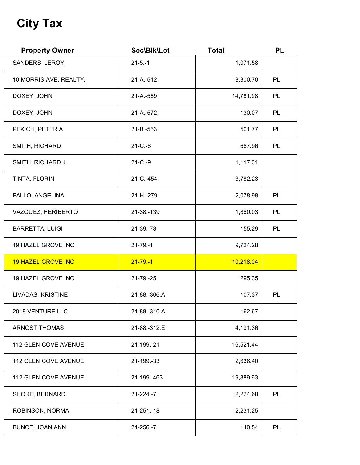## **City Tax**

| <b>Property Owner</b>     | Sec\Blk\Lot          | <b>Total</b> | <b>PL</b> |
|---------------------------|----------------------|--------------|-----------|
| SANDERS, LEROY            | $21 - 5 - 1$         | 1,071.58     |           |
| 10 MORRIS AVE. REALTY,    | 21-A.-512            | 8,300.70     | PL        |
| DOXEY, JOHN               | 21-A.-569            | 14,781.98    | PL        |
| DOXEY, JOHN               | 21-A.-572            | 130.07       | PL        |
| PEKICH, PETER A.          | 21-B.-563            | 501.77       | PL        |
| SMITH, RICHARD            | $21 - C - 6$         | 687.96       | PL        |
| SMITH, RICHARD J.         | $21 - C - 9$         | 1,117.31     |           |
| TINTA, FLORIN             | 21-C.-454            | 3,782.23     |           |
| FALLO, ANGELINA           | 21-H <sub>-279</sub> | 2,078.98     | PL        |
| VAZQUEZ, HERIBERTO        | 21-38.-139           | 1,860.03     | PL        |
| <b>BARRETTA, LUIGI</b>    | 21-39.-78            | 155.29       | PL        |
| 19 HAZEL GROVE INC        | $21 - 79 - 1$        | 9,724.28     |           |
| <b>19 HAZEL GROVE INC</b> | $21 - 79 - 1$        | 10,218.04    |           |
| 19 HAZEL GROVE INC        | 21-79.-25            | 295.35       |           |
| LIVADAS, KRISTINE         | 21-88.-306.A         | 107.37       | PL        |
| 2018 VENTURE LLC          | 21-88.-310.A         | 162.67       |           |
| ARNOST, THOMAS            | 21-88.-312.E         | 4,191.36     |           |
| 112 GLEN COVE AVENUE      | 21-199.-21           | 16,521.44    |           |
| 112 GLEN COVE AVENUE      | 21-199.-33           | 2,636.40     |           |
| 112 GLEN COVE AVENUE      | 21-199.-463          | 19,889.93    |           |
| SHORE, BERNARD            | $21 - 224 - 7$       | 2,274.68     | PL        |
| ROBINSON, NORMA           | 21-251.-18           | 2,231.25     |           |
| BUNCE, JOAN ANN           | 21-256.-7            | 140.54       | PL        |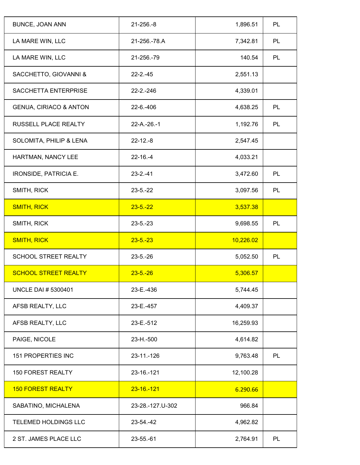| <b>BUNCE, JOAN ANN</b>            | $21 - 256 - 8$   | 1,896.51  | PL        |
|-----------------------------------|------------------|-----------|-----------|
| LA MARE WIN, LLC                  | 21-256.-78.A     | 7,342.81  | PL        |
| LA MARE WIN, LLC                  | 21-256.-79       | 140.54    | <b>PL</b> |
| SACCHETTO, GIOVANNI &             | $22 - 2 - 45$    | 2,551.13  |           |
| SACCHETTA ENTERPRISE              | $22 - 2 - 246$   | 4,339.01  |           |
| <b>GENUA, CIRIACO &amp; ANTON</b> | 22-6.-406        | 4,638.25  | <b>PL</b> |
| RUSSELL PLACE REALTY              | $22-A.-26.-1$    | 1,192.76  | PL        |
| SOLOMITA, PHILIP & LENA           | $22 - 12 - 8$    | 2,547.45  |           |
| HARTMAN, NANCY LEE                | $22 - 16 - 4$    | 4,033.21  |           |
| IRONSIDE, PATRICIA E.             | $23 - 2 - 41$    | 3,472.60  | PL        |
| SMITH, RICK                       | $23 - 5 - 22$    | 3,097.56  | PL        |
| <b>SMITH, RICK</b>                | $23 - 5 - 22$    | 3,537.38  |           |
| SMITH, RICK                       | $23 - 5 - 23$    | 9,698.55  | PL        |
| <b>SMITH, RICK</b>                | $23 - 5 - 23$    | 10,226.02 |           |
| <b>SCHOOL STREET REALTY</b>       | $23 - 5 - 26$    | 5,052.50  | PL        |
| <b>SCHOOL STREET REALTY</b>       | $23 - 5 - 26$    | 5,306.57  |           |
| <b>UNCLE DAI # 5300401</b>        | 23-E.-436        | 5,744.45  |           |
| AFSB REALTY, LLC                  | 23-E.-457        | 4,409.37  |           |
| AFSB REALTY, LLC                  | 23-E.-512        | 16,259.93 |           |
| PAIGE, NICOLE                     | 23-H.-500        | 4,614.82  |           |
| <b>151 PROPERTIES INC</b>         | 23-11.-126       | 9,763.48  | PL        |
| <b>150 FOREST REALTY</b>          | 23-16.-121       | 12,100.28 |           |
| <b>150 FOREST REALTY</b>          | $23 - 16 - 121$  | 6.290.66  |           |
| SABATINO, MICHALENA               | 23-28.-127.U-302 | 966.84    |           |
| TELEMED HOLDINGS LLC              | 23-54.-42        | 4,962.82  |           |
| 2 ST. JAMES PLACE LLC             | 23-55.-61        | 2,764.91  | PL        |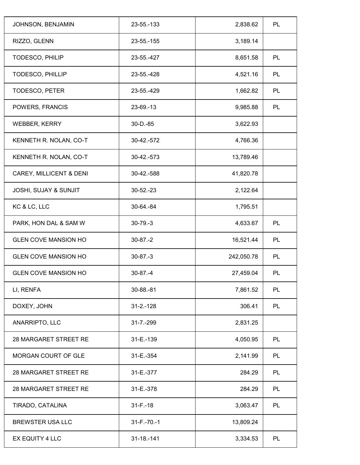| JOHNSON, BENJAMIN                | 23-55.-133        | 2,838.62   | PL |
|----------------------------------|-------------------|------------|----|
| RIZZO, GLENN                     | 23-55.-155        | 3,189.14   |    |
| TODESCO, PHILIP                  | 23-55.-427        | 8,651.58   | PL |
| TODESCO, PHILLIP                 | 23-55.-428        | 4,521.16   | PL |
| TODESCO, PETER                   | 23-55.-429        | 1,662.82   | PL |
| POWERS, FRANCIS                  | 23-69.-13         | 9,985.88   | PL |
| <b>WEBBER, KERRY</b>             | $30 - D - 85$     | 3,622.93   |    |
| KENNETH R. NOLAN, CO-T           | 30-42.-572        | 4,766.36   |    |
| KENNETH R. NOLAN, CO-T           | 30-42.-573        | 13,789.46  |    |
| CAREY, MILLICENT & DENI          | 30-42.-588        | 41,820.78  |    |
| <b>JOSHI, SUJAY &amp; SUNJIT</b> | $30 - 52 - 23$    | 2,122.64   |    |
| KC & LC, LLC                     | 30-64.-84         | 1,795.51   |    |
| PARK, HON DAL & SAM W            | $30 - 79 - 3$     | 4,633.67   | PL |
| <b>GLEN COVE MANSION HO</b>      | $30-87.-2$        | 16,521.44  | PL |
| <b>GLEN COVE MANSION HO</b>      | $30 - 87 - 3$     | 242,050.78 | PL |
| <b>GLEN COVE MANSION HO</b>      | $30-87. -4$       | 27,459.04  | PL |
| LI, RENFA                        | 30-88.-81         | 7,861.52   | PL |
| DOXEY, JOHN                      | $31 - 2 - 128$    | 306.41     | PL |
| ANARRIPTO, LLC                   | 31-7.-299         | 2,831.25   |    |
| <b>28 MARGARET STREET RE</b>     | 31-E.-139         | 4,050.95   | PL |
| MORGAN COURT OF GLE              | 31-E.-354         | 2,141.99   | PL |
| <b>28 MARGARET STREET RE</b>     | 31-E.-377         | 284.29     | PL |
| 28 MARGARET STREET RE            | 31-E.-378         | 284.29     | PL |
| TIRADO, CATALINA                 | $31 - F - 18$     | 3,063.47   | PL |
| <b>BREWSTER USA LLC</b>          | $31 - F - 70 - 1$ | 13,809.24  |    |
| EX EQUITY 4 LLC                  | 31-18.-141        | 3,334.53   | PL |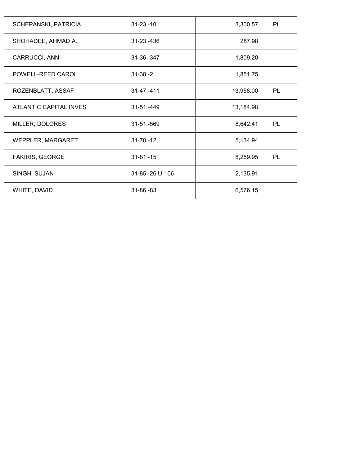| <b>SCHEPANSKI, PATRICIA</b> | $31 - 23 - 10$  | 3,300.57  | PL |
|-----------------------------|-----------------|-----------|----|
| SHOHADEE, AHMAD A.          | 31-23.-436      | 287.98    |    |
| CARRUCCI, ANN               | 31-36.-347      | 1,809.20  |    |
| POWELL-REED CAROL           | $31 - 38 - 2$   | 1,851.75  |    |
| ROZENBLATT, ASSAF           | $31 - 47 - 411$ | 13,958.00 | PL |
| ATLANTIC CAPITAL INVES      | 31-51.-449      | 13,184.98 |    |
| MILLER, DOLORES             | 31-51.-569      | 8,642.41  | PL |
| WEPPLER, MARGARET           | $31 - 70 - 12$  | 5,134.94  |    |
| <b>FAKIRIS, GEORGE</b>      | $31 - 81 - 15$  | 8,259.95  | PL |
| SINGH, SUJAN                | 31-85.-26.U-106 | 2,135.91  |    |
| WHITE, DAVID                | 31-86.-83       | 6,576.15  |    |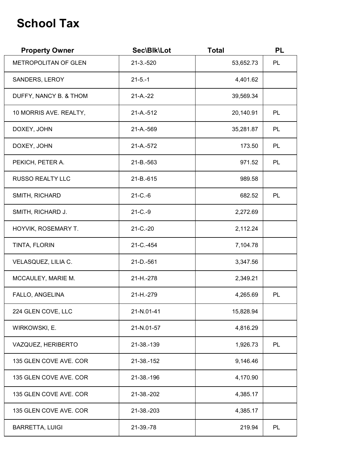## **School Tax**

| <b>Property Owner</b>   | Sec\Blk\Lot          | <b>Total</b> | <b>PL</b> |
|-------------------------|----------------------|--------------|-----------|
| METROPOLITAN OF GLEN    | $21 - 3 - 520$       | 53,652.73    | PL        |
| SANDERS, LEROY          | $21 - 5 - 1$         | 4,401.62     |           |
| DUFFY, NANCY B. & THOM  | $21 - A - 22$        | 39,569.34    |           |
| 10 MORRIS AVE. REALTY,  | 21-A.-512            | 20,140.91    | PL        |
| DOXEY, JOHN             | 21-A.-569            | 35,281.87    | PL        |
| DOXEY, JOHN             | 21-A.-572            | 173.50       | PL        |
| PEKICH, PETER A.        | 21-B.-563            | 971.52       | PL        |
| <b>RUSSO REALTY LLC</b> | 21-B.-615            | 989.58       |           |
| SMITH, RICHARD          | $21 - C - 6$         | 682.52       | PL        |
| SMITH, RICHARD J.       | $21 - C - 9$         | 2,272.69     |           |
| HOYVIK, ROSEMARY T.     | $21 - C - 20$        | 2,112.24     |           |
| TINTA, FLORIN           | 21-C.-454            | 7,104.78     |           |
| VELASQUEZ, LILIA C.     | 21-D.-561            | 3,347.56     |           |
| MCCAULEY, MARIE M.      | 21-H <sub>-278</sub> | 2,349.21     |           |
| FALLO, ANGELINA         | 21-H <sub>-279</sub> | 4,265.69     | PL        |
| 224 GLEN COVE, LLC      | 21-N.01-41           | 15,828.94    |           |
| WIRKOWSKI, E.           | 21-N.01-57           | 4,816.29     |           |
| VAZQUEZ, HERIBERTO      | 21-38.-139           | 1,926.73     | PL        |
| 135 GLEN COVE AVE. COR  | 21-38.-152           | 9,146.46     |           |
| 135 GLEN COVE AVE. COR  | 21-38.-196           | 4,170.90     |           |
| 135 GLEN COVE AVE. COR  | 21-38.-202           | 4,385.17     |           |
| 135 GLEN COVE AVE. COR  | 21-38.-203           | 4,385.17     |           |
| <b>BARRETTA, LUIGI</b>  | 21-39.-78            | 219.94       | PL        |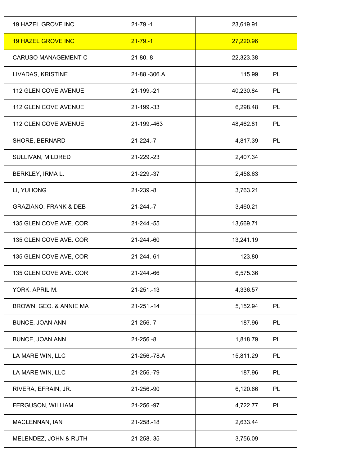| 19 HAZEL GROVE INC               | $21 - 79 - 1$  | 23,619.91 |           |
|----------------------------------|----------------|-----------|-----------|
| <b>19 HAZEL GROVE INC</b>        | $21 - 79 - 1$  | 27,220.96 |           |
| <b>CARUSO MANAGEMENT C</b>       | $21 - 80 - 8$  | 22,323.38 |           |
| LIVADAS, KRISTINE                | 21-88.-306.A   | 115.99    | PL        |
| 112 GLEN COVE AVENUE             | 21-199.-21     | 40,230.84 | PL        |
| <b>112 GLEN COVE AVENUE</b>      | 21-199.-33     | 6,298.48  | <b>PL</b> |
| 112 GLEN COVE AVENUE             | 21-199.-463    | 48,462.81 | <b>PL</b> |
| SHORE, BERNARD                   | $21 - 224 - 7$ | 4,817.39  | PL        |
| SULLIVAN, MILDRED                | 21-229.-23     | 2,407.34  |           |
| BERKLEY, IRMA L.                 | 21-229.-37     | 2,458.63  |           |
| LI, YUHONG                       | 21-239.-8      | 3,763.21  |           |
| <b>GRAZIANO, FRANK &amp; DEB</b> | $21 - 244 - 7$ | 3,460.21  |           |
| 135 GLEN COVE AVE. COR           | 21-244.-55     | 13,669.71 |           |
| 135 GLEN COVE AVE. COR           | 21-244.-60     | 13,241.19 |           |
| 135 GLEN COVE AVE, COR           | 21-244.-61     | 123.80    |           |
| 135 GLEN COVE AVE. COR           | 21-244.-66     | 6,575.36  |           |
| YORK, APRIL M.                   | 21-251.-13     | 4,336.57  |           |
| BROWN, GEO. & ANNIE MA           | 21-251.-14     | 5,152.94  | PL        |
| <b>BUNCE, JOAN ANN</b>           | 21-256.-7      | 187.96    | PL        |
| <b>BUNCE, JOAN ANN</b>           | $21 - 256 - 8$ | 1,818.79  | PL        |
| LA MARE WIN, LLC                 | 21-256.-78.A   | 15,811.29 | PL        |
| LA MARE WIN, LLC                 | 21-256.-79     | 187.96    | PL        |
| RIVERA, EFRAIN, JR.              | 21-256.-90     | 6,120.66  | PL        |
| FERGUSON, WILLIAM                | 21-256.-97     | 4,722.77  | PL        |
| MACLENNAN, IAN                   | 21-258.-18     | 2,633.44  |           |
| MELENDEZ, JOHN & RUTH            | 21-258.-35     | 3,756.09  |           |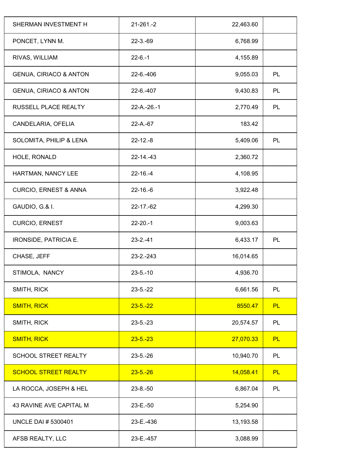| $21 - 261 - 2$ | 22,463.60 |           |
|----------------|-----------|-----------|
| $22 - 3 - 69$  | 6,768.99  |           |
| $22 - 6 - 1$   | 4,155.89  |           |
| $22 - 6 - 406$ | 9,055.03  | PL        |
| 22-6.-407      | 9,430.83  | PL        |
| 22-A.-26.-1    | 2,770.49  | PL        |
| 22-A.-67       | 183.42    |           |
| $22 - 12 - 8$  | 5,409.06  | PL        |
| $22 - 14 - 43$ | 2,360.72  |           |
| $22 - 16 - 4$  | 4,108.95  |           |
| $22 - 16 - 6$  | 3,922.48  |           |
| 22-17.-62      | 4,299.30  |           |
| $22 - 20 - 1$  | 9,003.63  |           |
| $23 - 2 - 41$  | 6,433.17  | PL        |
| 23-2.-243      | 16,014.65 |           |
| $23 - 5 - 10$  | 4,936.70  |           |
| $23 - 5 - 22$  | 6,661.56  | PL        |
| $23 - 5 - 22$  | 8550.47   | <b>PL</b> |
| $23 - 5 - 23$  | 20,574.57 | PL        |
| $23 - 5 - 23$  | 27,070.33 | PL        |
| $23 - 5 - 26$  | 10,940.70 | PL        |
| $23 - 5 - 26$  | 14,058.41 | <b>PL</b> |
| $23 - 8 - 50$  | 6,867.04  | PL        |
| 23-E.-50       | 5,254.90  |           |
| 23-E.-436      | 13,193.58 |           |
| 23-E.-457      | 3,088.99  |           |
|                |           |           |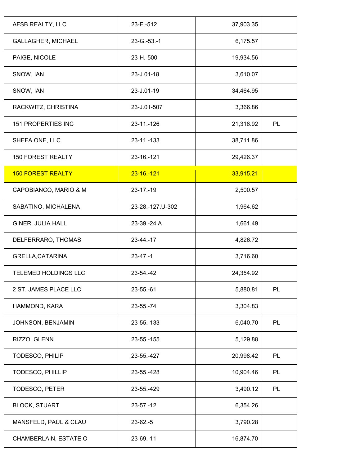| AFSB REALTY, LLC          | 23-E.-512            | 37,903.35 |    |
|---------------------------|----------------------|-----------|----|
| <b>GALLAGHER, MICHAEL</b> | $23 - G - 53 - 1$    | 6,175.57  |    |
| PAIGE, NICOLE             | 23-H <sub>-500</sub> | 19,934.56 |    |
| SNOW, IAN                 | 23-J.01-18           | 3,610.07  |    |
| SNOW, IAN                 | 23-J.01-19           | 34,464.95 |    |
| RACKWITZ, CHRISTINA       | 23-J.01-507          | 3,366.86  |    |
| <b>151 PROPERTIES INC</b> | 23-11.-126           | 21,316.92 | PL |
| SHEFA ONE, LLC            | 23-11.-133           | 38,711.86 |    |
| <b>150 FOREST REALTY</b>  | 23-16.-121           | 29,426.37 |    |
| <b>150 FOREST REALTY</b>  | $23 - 16 - 121$      | 33,915.21 |    |
| CAPOBIANCO, MARIO & M     | $23 - 17 - 19$       | 2,500.57  |    |
| SABATINO, MICHALENA       | 23-28.-127.U-302     | 1,964.62  |    |
| GINER, JULIA HALL         | 23-39.-24.A          | 1,661.49  |    |
| DELFERRARO, THOMAS        | 23-44.-17            | 4,826.72  |    |
| GRELLA, CATARINA          | $23-47-1$            | 3,716.60  |    |
| TELEMED HOLDINGS LLC      | 23-54.-42            | 24,354.92 |    |
| 2 ST. JAMES PLACE LLC     | 23-55.-61            | 5,880.81  | PL |
| HAMMOND, KARA             | 23-55.-74            | 3,304.83  |    |
| JOHNSON, BENJAMIN         | 23-55.-133           | 6,040.70  | PL |
| RIZZO, GLENN              | 23-55.-155           | 5,129.88  |    |
| TODESCO, PHILIP           | 23-55.-427           | 20,998.42 | PL |
| TODESCO, PHILLIP          | 23-55.-428           | 10,904.46 | PL |
| <b>TODESCO, PETER</b>     | 23-55.-429           | 3,490.12  | PL |
| <b>BLOCK, STUART</b>      | $23 - 57 - 12$       | 6,354.26  |    |
| MANSFELD, PAUL & CLAU     | $23-62.-5$           | 3,790.28  |    |
| CHAMBERLAIN, ESTATE O     | 23-69.-11            | 16,874.70 |    |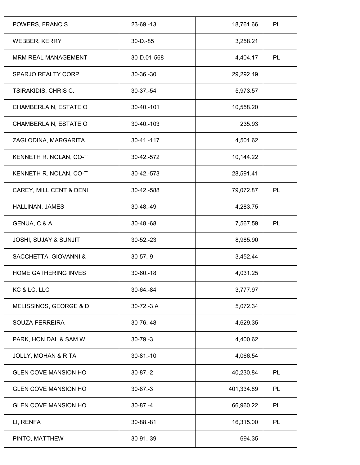| POWERS, FRANCIS                  | 23-69.-13      | 18,761.66  | PL        |
|----------------------------------|----------------|------------|-----------|
| <b>WEBBER, KERRY</b>             | $30 - D - 85$  | 3,258.21   |           |
| <b>MRM REAL MANAGEMENT</b>       | 30-D.01-568    | 4,404.17   | PL        |
| SPARJO REALTY CORP.              | $30-36-30$     | 29,292.49  |           |
| <b>TSIRAKIDIS, CHRIS C.</b>      | 30-37.-54      | 5,973.57   |           |
| CHAMBERLAIN, ESTATE O            | 30-40.-101     | 10,558.20  |           |
| CHAMBERLAIN, ESTATE O            | 30-40.-103     | 235.93     |           |
| ZAGLODINA, MARGARITA             | 30-41.-117     | 4,501.62   |           |
| KENNETH R. NOLAN, CO-T           | 30-42.-572     | 10,144.22  |           |
| KENNETH R. NOLAN, CO-T           | 30-42.-573     | 28,591.41  |           |
| CAREY, MILLICENT & DENI          | 30-42.-588     | 79,072.87  | PL        |
| HALLINAN, JAMES                  | 30-48.-49      | 4,283.75   |           |
| GENUA, C.& A.                    | 30-48.-68      | 7,567.59   | <b>PL</b> |
| <b>JOSHI, SUJAY &amp; SUNJIT</b> | $30 - 52 - 23$ | 8,985.90   |           |
| SACCHETTA, GIOVANNI &            | $30-57.-9$     | 3,452.44   |           |
| <b>HOME GATHERING INVES</b>      | $30 - 60 - 18$ | 4,031.25   |           |
| KC & LC, LLC                     | 30-64.-84      | 3,777.97   |           |
| MELISSINOS, GEORGE & D           | $30-72.-3.A$   | 5,072.34   |           |
| SOUZA-FERREIRA                   | 30-76.-48      | 4,629.35   |           |
| PARK, HON DAL & SAM W            | $30-79.-3$     | 4,400.62   |           |
| <b>JOLLY, MOHAN &amp; RITA</b>   | $30 - 81 - 10$ | 4,066.54   |           |
| <b>GLEN COVE MANSION HO</b>      | $30-87.-2$     | 40,230.84  | PL        |
| <b>GLEN COVE MANSION HO</b>      | $30 - 87 - 3$  | 401,334.89 | PL        |
| <b>GLEN COVE MANSION HO</b>      | $30-87. -4$    | 66,960.22  | PL        |
| LI, RENFA                        | 30-88.-81      | 16,315.00  | PL        |
| PINTO, MATTHEW                   | 30-91.-39      | 694.35     |           |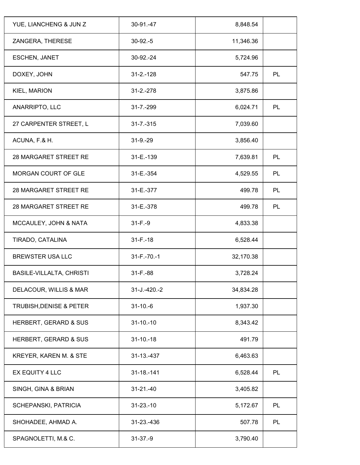| 30-91.-47            | 8,848.54  |    |
|----------------------|-----------|----|
| $30-92.-5$           | 11,346.36 |    |
| 30-92.-24            | 5,724.96  |    |
| $31 - 2 - 128$       | 547.75    | PL |
| $31 - 2 - 278$       | 3,875.86  |    |
| $31 - 7 - 299$       | 6,024.71  | PL |
| $31 - 7 - 315$       | 7,039.60  |    |
| $31 - 9 - 29$        | 3,856.40  |    |
| 31-E.-139            | 7,639.81  | PL |
| 31-E.-354            | 4,529.55  | PL |
| 31-E <sub>-377</sub> | 499.78    | PL |
| 31-E.-378            | 499.78    | PL |
| $31 - F - 9$         | 4,833.38  |    |
| $31 - F - 18$        | 6,528.44  |    |
| $31 - F - 70 - 1$    | 32,170.38 |    |
| $31 - F - 88$        | 3,728.24  |    |
| $31 - J. - 420 - 2$  | 34,834.28 |    |
| $31 - 10 - 6$        | 1,937.30  |    |
| $31 - 10 - 10$       | 8,343.42  |    |
| $31 - 10 - 18$       | 491.79    |    |
| 31-13.-437           | 6,463.63  |    |
| 31-18.-141           | 6,528.44  | PL |
| $31 - 21 - 40$       | 3,405.82  |    |
| $31 - 23 - 10$       | 5,172.67  | PL |
| 31-23.-436           | 507.78    | PL |
| $31 - 37 - 9$        | 3,790.40  |    |
|                      |           |    |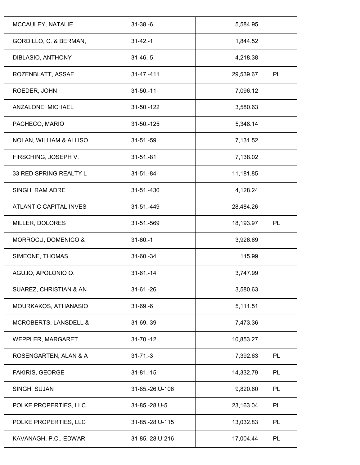| $31 - 38 - 6$   | 5,584.95  |    |
|-----------------|-----------|----|
| $31 - 42 - 1$   | 1,844.52  |    |
| $31 - 46 - 5$   | 4,218.38  |    |
| $31 - 47 - 411$ | 29,539.67 | PL |
| $31 - 50 - 11$  | 7,096.12  |    |
| 31-50.-122      | 3,580.63  |    |
| 31-50.-125      | 5,348.14  |    |
| $31 - 51 - 59$  | 7,131.52  |    |
| $31 - 51 - 81$  | 7,138.02  |    |
| $31 - 51 - 84$  | 11,181.85 |    |
| 31-51.-430      | 4,128.24  |    |
| 31-51.-449      | 28,484.26 |    |
| 31-51.-569      | 18,193.97 | PL |
| $31 - 60 - 1$   | 3,926.69  |    |
| 31-60.-34       | 115.99    |    |
| $31-61-14$      | 3,747.99  |    |
| $31-61-26$      | 3,580.63  |    |
| $31-69-6$       | 5,111.51  |    |
| 31-69.-39       | 7,473.36  |    |
| $31 - 70 - 12$  | 10,853.27 |    |
| $31 - 71 - 3$   | 7,392.63  | PL |
| $31 - 81 - 15$  | 14,332.79 | PL |
| 31-85.-26.U-106 | 9,820.60  | PL |
| 31-85.-28.U-5   | 23,163.04 | PL |
| 31-85.-28.U-115 | 13,032.83 | PL |
| 31-85.-28.U-216 | 17,004.44 | PL |
|                 |           |    |